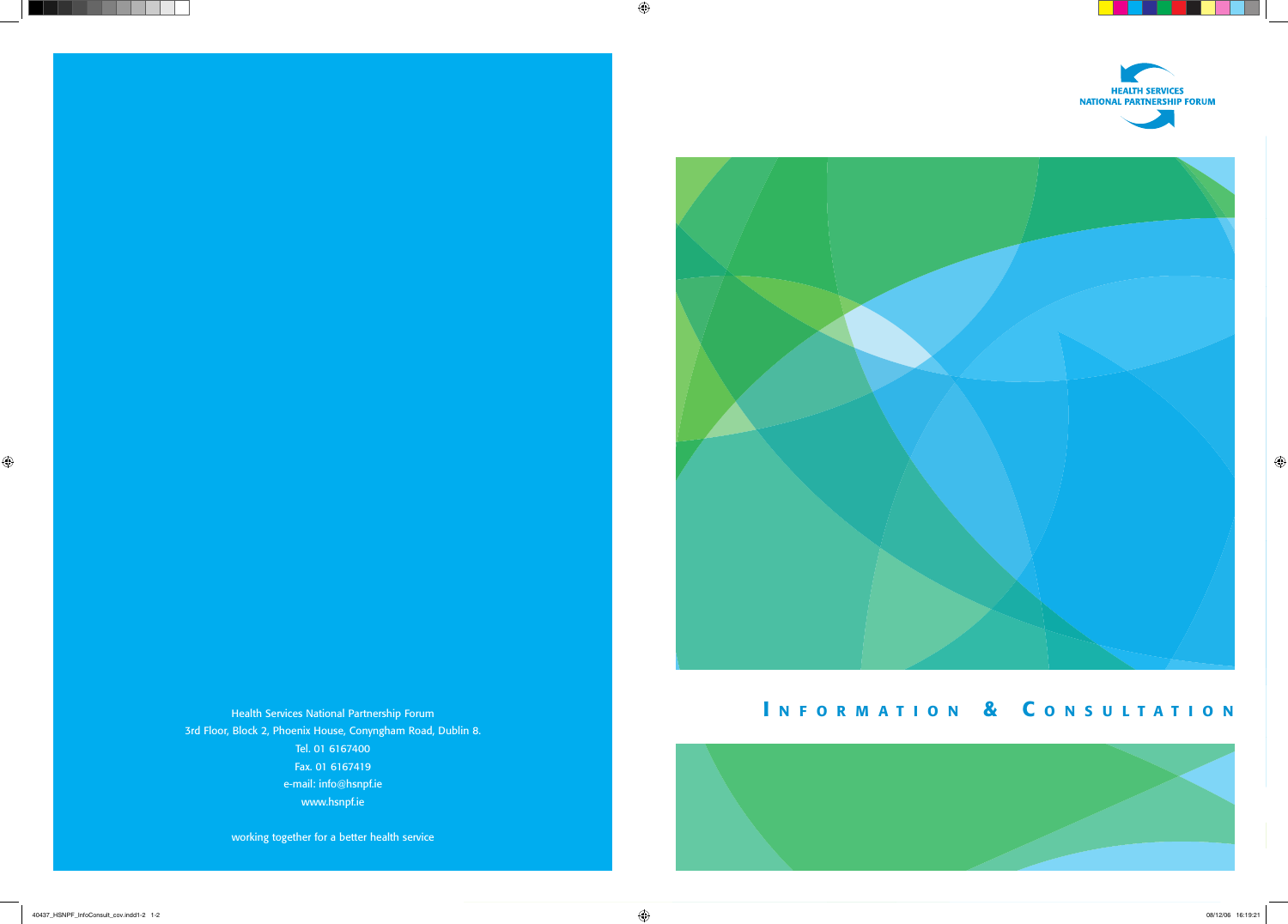



# INFORMATION & CONSULTATION

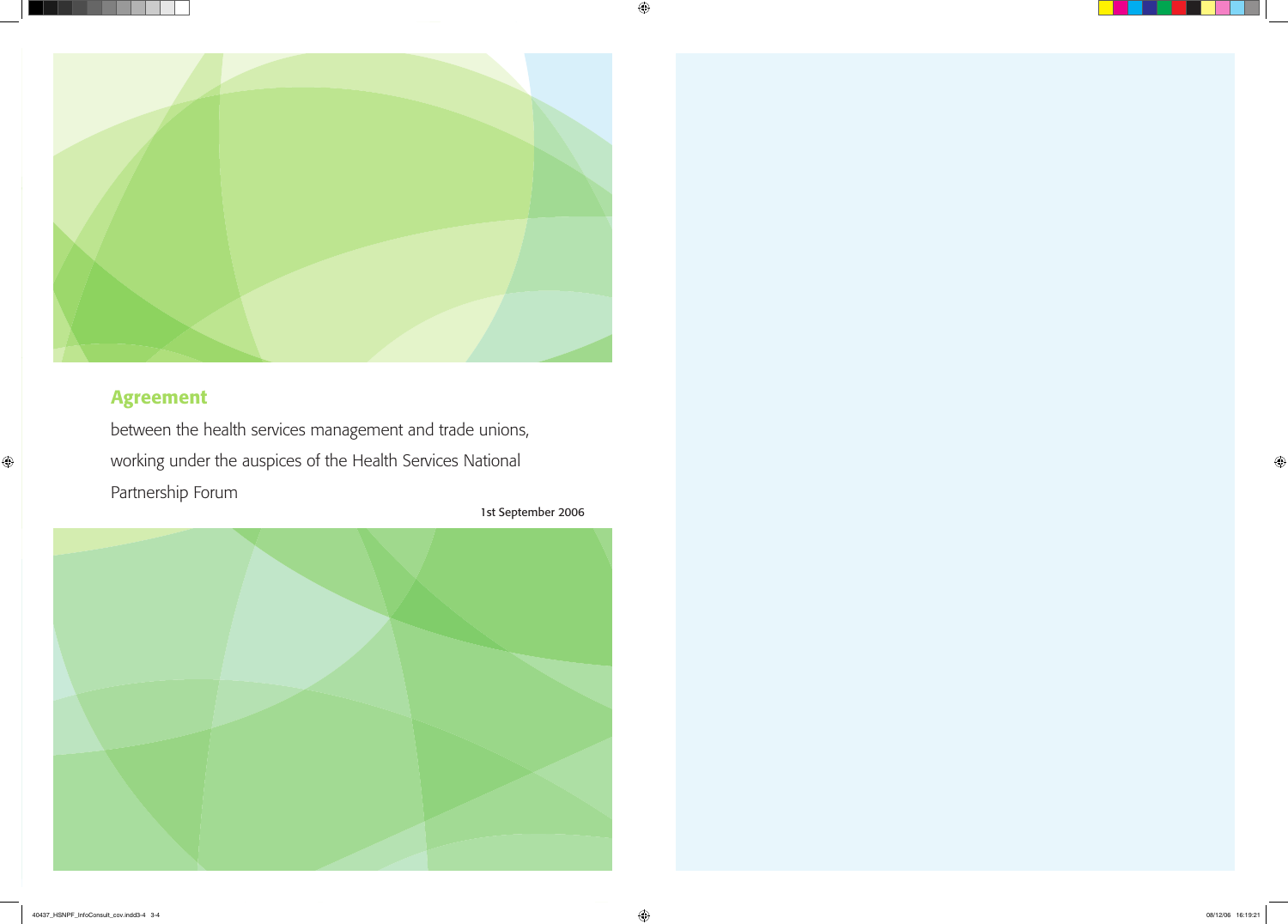

# Agreement

between the health services management and trade unions, working under the auspices of the Health Services National Partnership Forum

1st September 2006

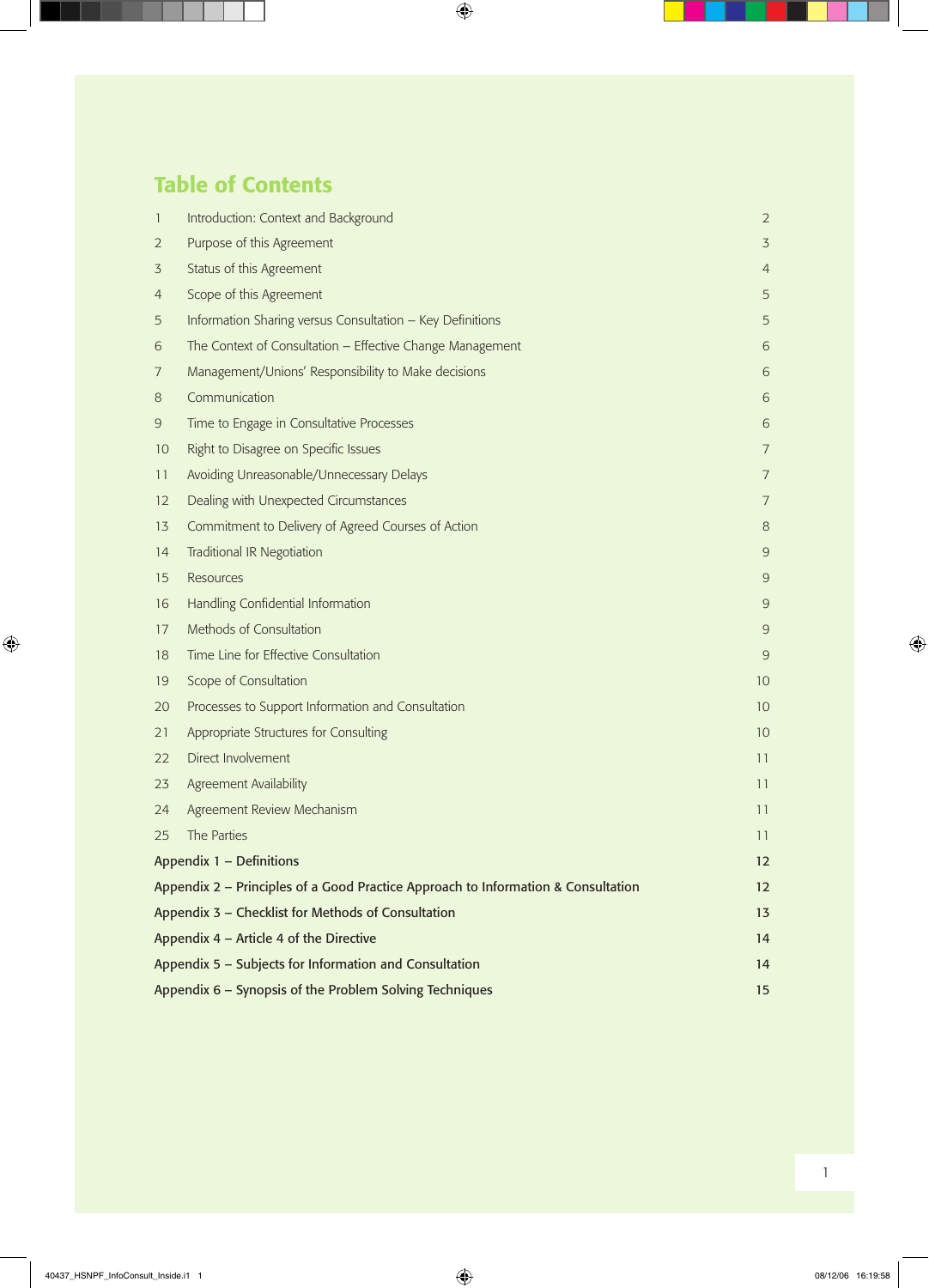# Table of Contents

| $\mathbf{1}$                                            | Introduction: Context and Background                                              | $\overline{2}$ |
|---------------------------------------------------------|-----------------------------------------------------------------------------------|----------------|
| $\overline{2}$                                          | Purpose of this Agreement                                                         | $\overline{3}$ |
| 3                                                       | Status of this Agreement                                                          | $\overline{4}$ |
| $\overline{4}$                                          | Scope of this Agreement                                                           | 5              |
| 5                                                       | Information Sharing versus Consultation - Key Definitions                         | 5              |
| 6                                                       | The Context of Consultation - Effective Change Management                         | 6              |
| 7                                                       | Management/Unions' Responsibility to Make decisions                               | 6              |
| 8                                                       | Communication                                                                     | 6              |
| 9                                                       | Time to Engage in Consultative Processes                                          | 6              |
| 10                                                      | Right to Disagree on Specific Issues                                              | $\overline{7}$ |
| 11                                                      | Avoiding Unreasonable/Unnecessary Delays                                          | $\overline{7}$ |
| $12 \overline{ }$                                       | Dealing with Unexpected Circumstances                                             | $\overline{7}$ |
| 13                                                      | Commitment to Delivery of Agreed Courses of Action                                | 8              |
| 14                                                      | <b>Traditional IR Negotiation</b>                                                 | 9              |
| 15                                                      | <b>Resources</b>                                                                  | 9              |
| 16                                                      | Handling Confidential Information                                                 | 9              |
| 17                                                      | Methods of Consultation                                                           | 9              |
| 18                                                      | Time Line for Effective Consultation                                              | 9              |
| 19                                                      | Scope of Consultation                                                             | 10             |
| 20                                                      | Processes to Support Information and Consultation                                 | 10             |
| 21                                                      | Appropriate Structures for Consulting                                             | 10             |
| 22                                                      | Direct Involvement                                                                | 11             |
| 23                                                      | Agreement Availability                                                            | 11             |
| 24                                                      | Agreement Review Mechanism                                                        | 11             |
| 25                                                      | The Parties                                                                       | 11             |
|                                                         | Appendix 1 - Definitions                                                          | 12             |
|                                                         | Appendix 2 - Principles of a Good Practice Approach to Information & Consultation |                |
|                                                         | Appendix 3 - Checklist for Methods of Consultation                                |                |
| Appendix 4 - Article 4 of the Directive                 |                                                                                   | 14             |
| Appendix 5 - Subjects for Information and Consultation  |                                                                                   |                |
| Appendix 6 - Synopsis of the Problem Solving Techniques |                                                                                   |                |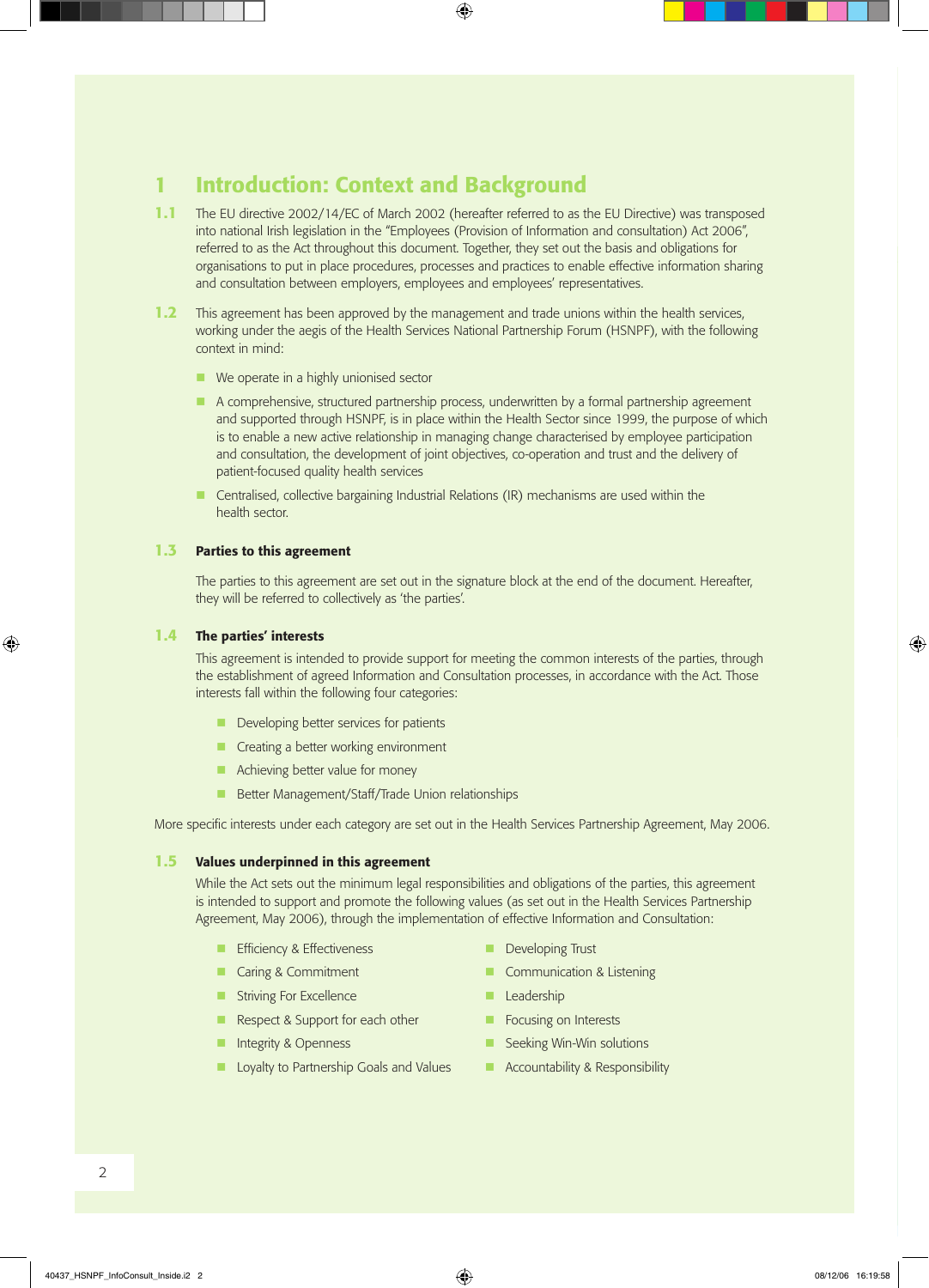## 1 Introduction: Context and Background

- 1.1 The EU directive 2002/14/EC of March 2002 (hereafter referred to as the EU Directive) was transposed into national Irish legislation in the "Employees (Provision of Information and consultation) Act 2006", referred to as the Act throughout this document. Together, they set out the basis and obligations for organisations to put in place procedures, processes and practices to enable effective information sharing and consultation between employers, employees and employees' representatives.
- **1.2** This agreement has been approved by the management and trade unions within the health services, working under the aegis of the Health Services National Partnership Forum (HSNPF), with the following context in mind:
	- $\blacksquare$  We operate in a highly unionised sector
	- n A comprehensive, structured partnership process, underwritten by a formal partnership agreement and supported through HSNPF, is in place within the Health Sector since 1999, the purpose of which is to enable a new active relationship in managing change characterised by employee participation and consultation, the development of joint objectives, co-operation and trust and the delivery of patient-focused quality health services
	- Centralised, collective bargaining Industrial Relations (IR) mechanisms are used within the health sector.

#### 1.3 Parties to this agreement

 The parties to this agreement are set out in the signature block at the end of the document. Hereafter, they will be referred to collectively as 'the parties'.

#### 1.4 The parties' interests

 This agreement is intended to provide support for meeting the common interests of the parties, through the establishment of agreed Information and Consultation processes, in accordance with the Act. Those interests fall within the following four categories:

- $\blacksquare$  Developing better services for patients
- $\blacksquare$  Creating a better working environment
- $\blacksquare$  Achieving better value for money
- **n** Better Management/Staff/Trade Union relationships

More specific interests under each category are set out in the Health Services Partnership Agreement, May 2006.

#### 1.5 Values underpinned in this agreement

 While the Act sets out the minimum legal responsibilities and obligations of the parties, this agreement is intended to support and promote the following values (as set out in the Health Services Partnership Agreement, May 2006), through the implementation of effective Information and Consultation:

- **n** Efficiency & Effectiveness **n** Developing Trust
- 
- **n** Striving For Excellence **n <b>C** Leadership
- n Respect & Support for each other **notify and Support for each other notify Focusing on Interests**
- 
- **n** Loyalty to Partnership Goals and Values **now Accountability & Responsibility**
- 
- Caring & Commitment **a** Communication & Listening
	-
	-
- n Integrity & Openness<br> **n** Seeking Win-Win solutions
	-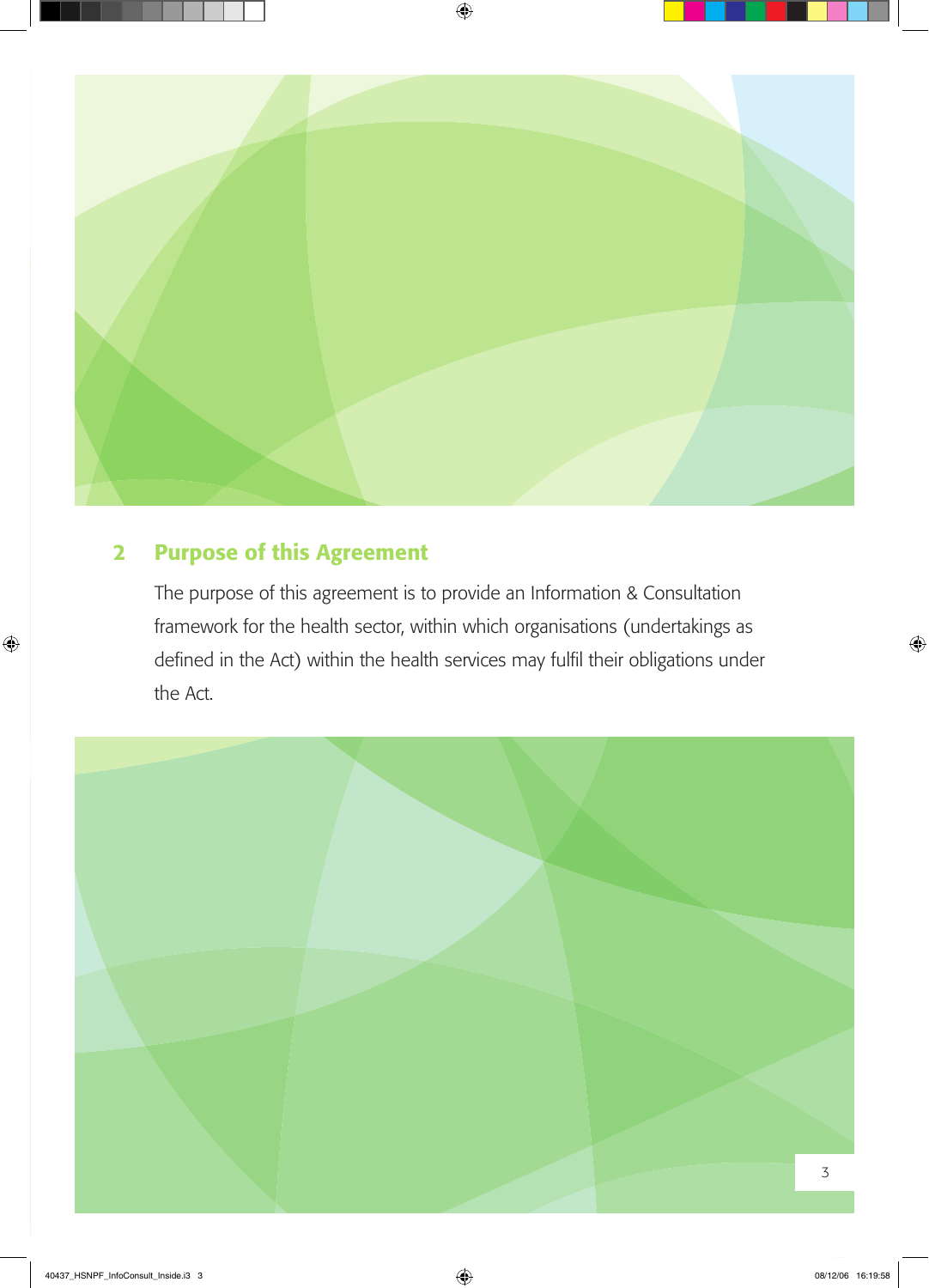

## 2 Purpose of this Agreement

The purpose of this agreement is to provide an Information & Consultation framework for the health sector, within which organisations (undertakings as defined in the Act) within the health services may fulfil their obligations under the Act.

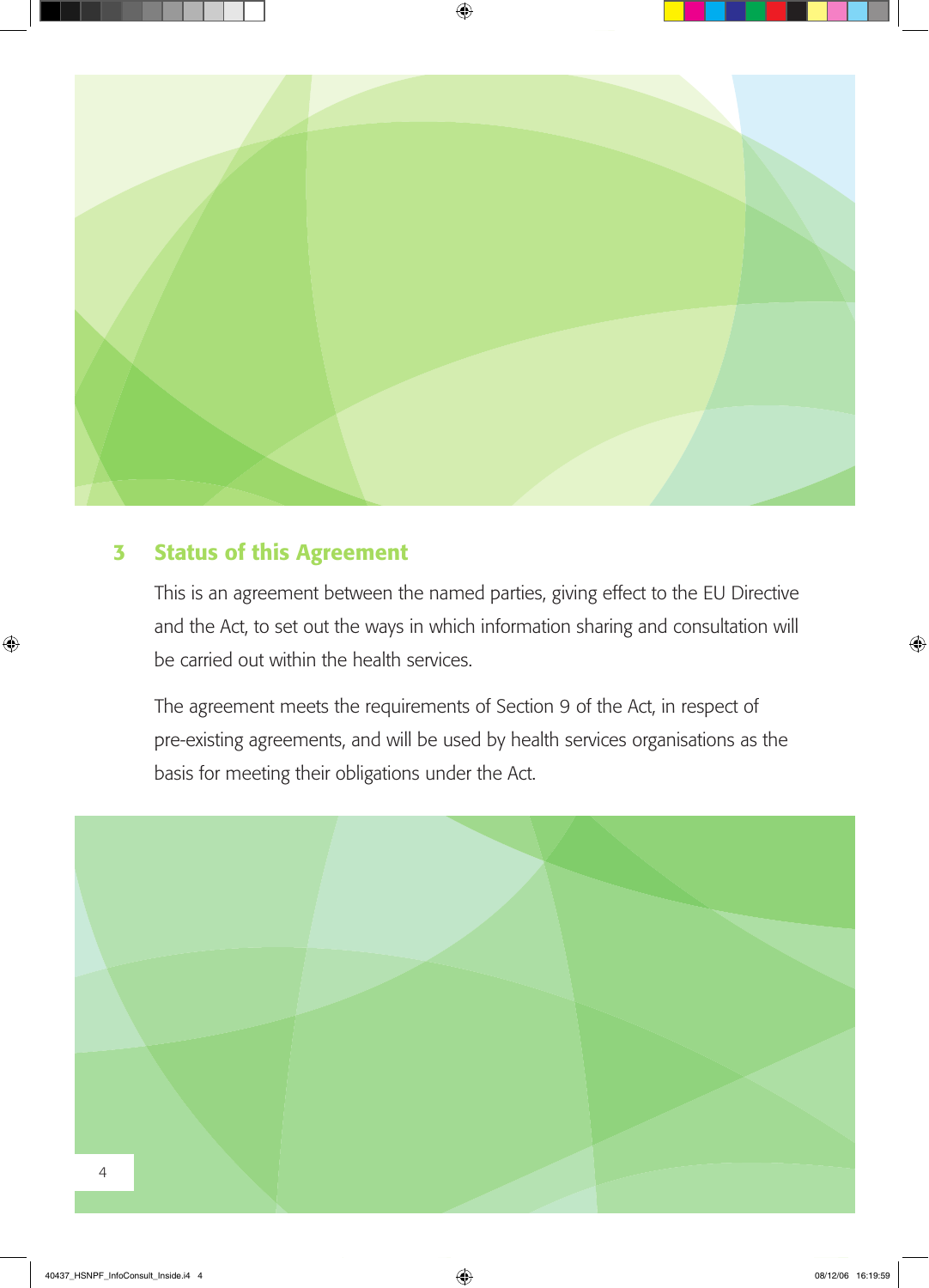

## 3 Status of this Agreement

This is an agreement between the named parties, giving effect to the EU Directive and the Act, to set out the ways in which information sharing and consultation will be carried out within the health services.

The agreement meets the requirements of Section 9 of the Act, in respect of pre-existing agreements, and will be used by health services organisations as the basis for meeting their obligations under the Act.

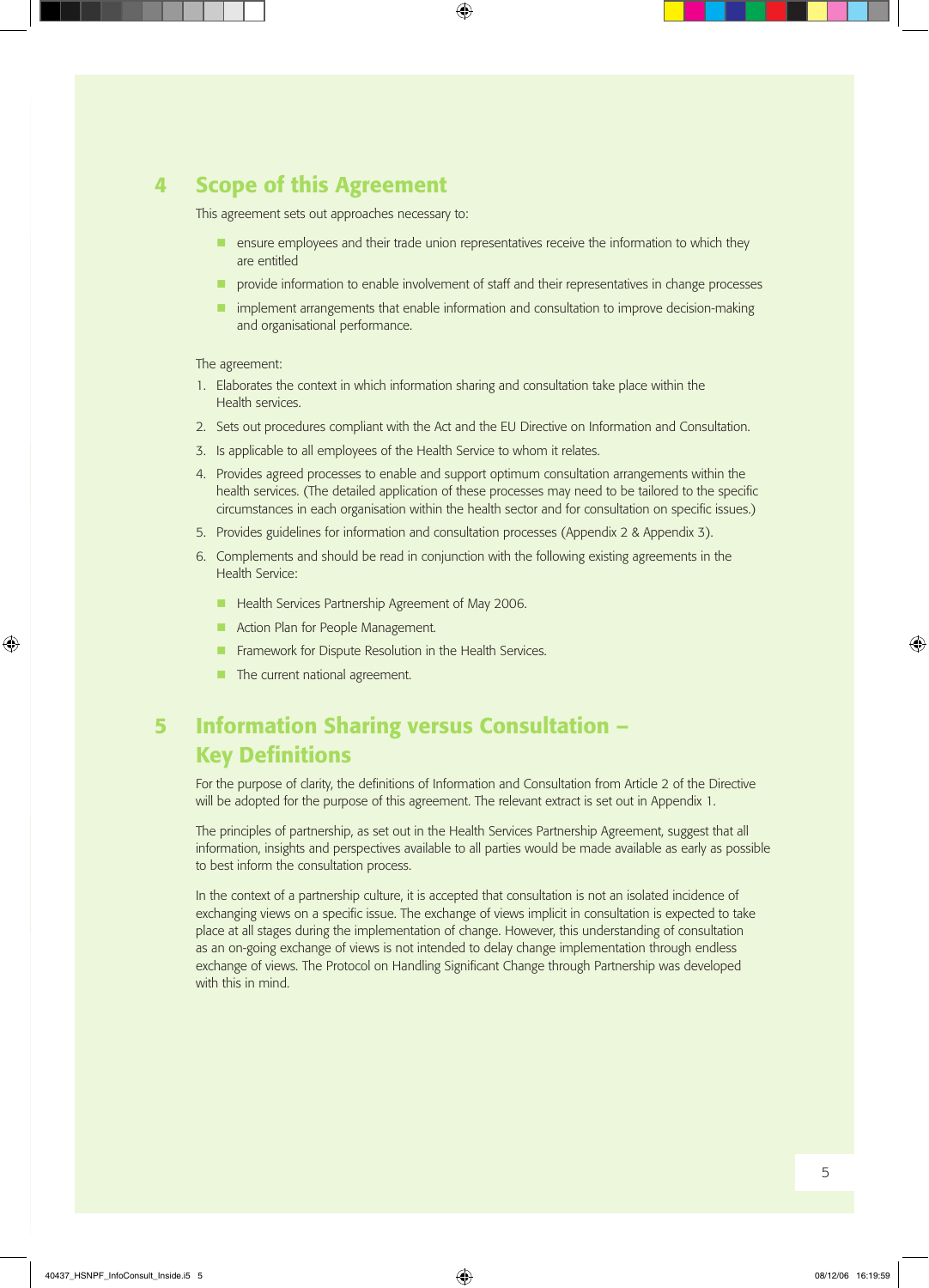### 4 Scope of this Agreement

This agreement sets out approaches necessary to:

- **n** ensure employees and their trade union representatives receive the information to which they are entitled
- $\blacksquare$  provide information to enable involvement of staff and their representatives in change processes
- n implement arrangements that enable information and consultation to improve decision-making and organisational performance.

#### The agreement:

- 1. Elaborates the context in which information sharing and consultation take place within the Health services.
- 2. Sets out procedures compliant with the Act and the EU Directive on Information and Consultation.
- 3. Is applicable to all employees of the Health Service to whom it relates.
- 4. Provides agreed processes to enable and support optimum consultation arrangements within the health services. (The detailed application of these processes may need to be tailored to the specific circumstances in each organisation within the health sector and for consultation on specific issues.)
- 5. Provides guidelines for information and consultation processes (Appendix 2 & Appendix 3).
- 6. Complements and should be read in conjunction with the following existing agreements in the Health Service:
	- **n** Health Services Partnership Agreement of May 2006.
	- **n** Action Plan for People Management.
	- $\blacksquare$  Framework for Dispute Resolution in the Health Services.
	- $\blacksquare$  The current national agreement.

## 5 Information Sharing versus Consultation – **Key Definitions**

For the purpose of clarity, the definitions of Information and Consultation from Article 2 of the Directive will be adopted for the purpose of this agreement. The relevant extract is set out in Appendix 1.

The principles of partnership, as set out in the Health Services Partnership Agreement, suggest that all information, insights and perspectives available to all parties would be made available as early as possible to best inform the consultation process.

In the context of a partnership culture, it is accepted that consultation is not an isolated incidence of exchanging views on a specific issue. The exchange of views implicit in consultation is expected to take place at all stages during the implementation of change. However, this understanding of consultation as an on-going exchange of views is not intended to delay change implementation through endless exchange of views. The Protocol on Handling Significant Change through Partnership was developed with this in mind.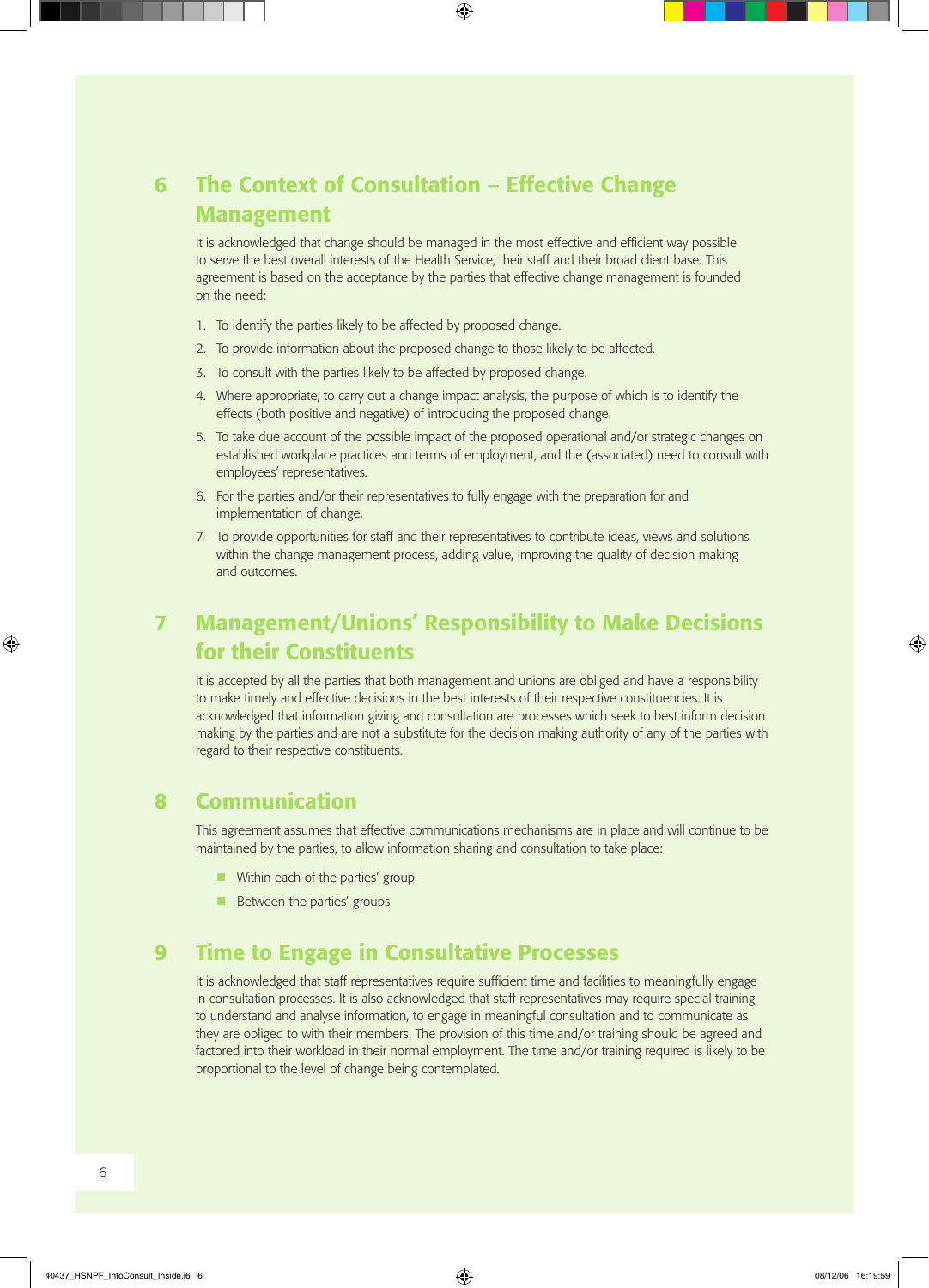## 6 The Context of Consultation – Effective Change Management

 It is acknowledged that change should be managed in the most effective and efficient way possible to serve the best overall interests of the Health Service, their staff and their broad client base. This agreement is based on the acceptance by the parties that effective change management is founded on the need:

- 1. To identify the parties likely to be affected by proposed change.
- 2. To provide information about the proposed change to those likely to be affected.
- 3. To consult with the parties likely to be affected by proposed change.
- 4. Where appropriate, to carry out a change impact analysis, the purpose of which is to identify the effects (both positive and negative) of introducing the proposed change.
- 5. To take due account of the possible impact of the proposed operational and/or strategic changes on established workplace practices and terms of employment, and the (associated) need to consult with employees' representatives.
- 6. For the parties and/or their representatives to fully engage with the preparation for and implementation of change.
- 7. To provide opportunities for staff and their representatives to contribute ideas, views and solutions within the change management process, adding value, improving the quality of decision making and outcomes.

## 7 Management/Unions' Responsibility to Make Decisions for their Constituents

It is accepted by all the parties that both management and unions are obliged and have a responsibility to make timely and effective decisions in the best interests of their respective constituencies. It is acknowledged that information giving and consultation are processes which seek to best inform decision making by the parties and are not a substitute for the decision making authority of any of the parties with regard to their respective constituents.

### 8 Communication

 This agreement assumes that effective communications mechanisms are in place and will continue to be maintained by the parties, to allow information sharing and consultation to take place:

- **No Within each of the parties' group**
- $\blacksquare$  Between the parties' groups

### 9 Time to Engage in Consultative Processes

It is acknowledged that staff representatives require sufficient time and facilities to meaningfully engage in consultation processes. It is also acknowledged that staff representatives may require special training to understand and analyse information, to engage in meaningful consultation and to communicate as they are obliged to with their members. The provision of this time and/or training should be agreed and factored into their workload in their normal employment. The time and/or training required is likely to be proportional to the level of change being contemplated.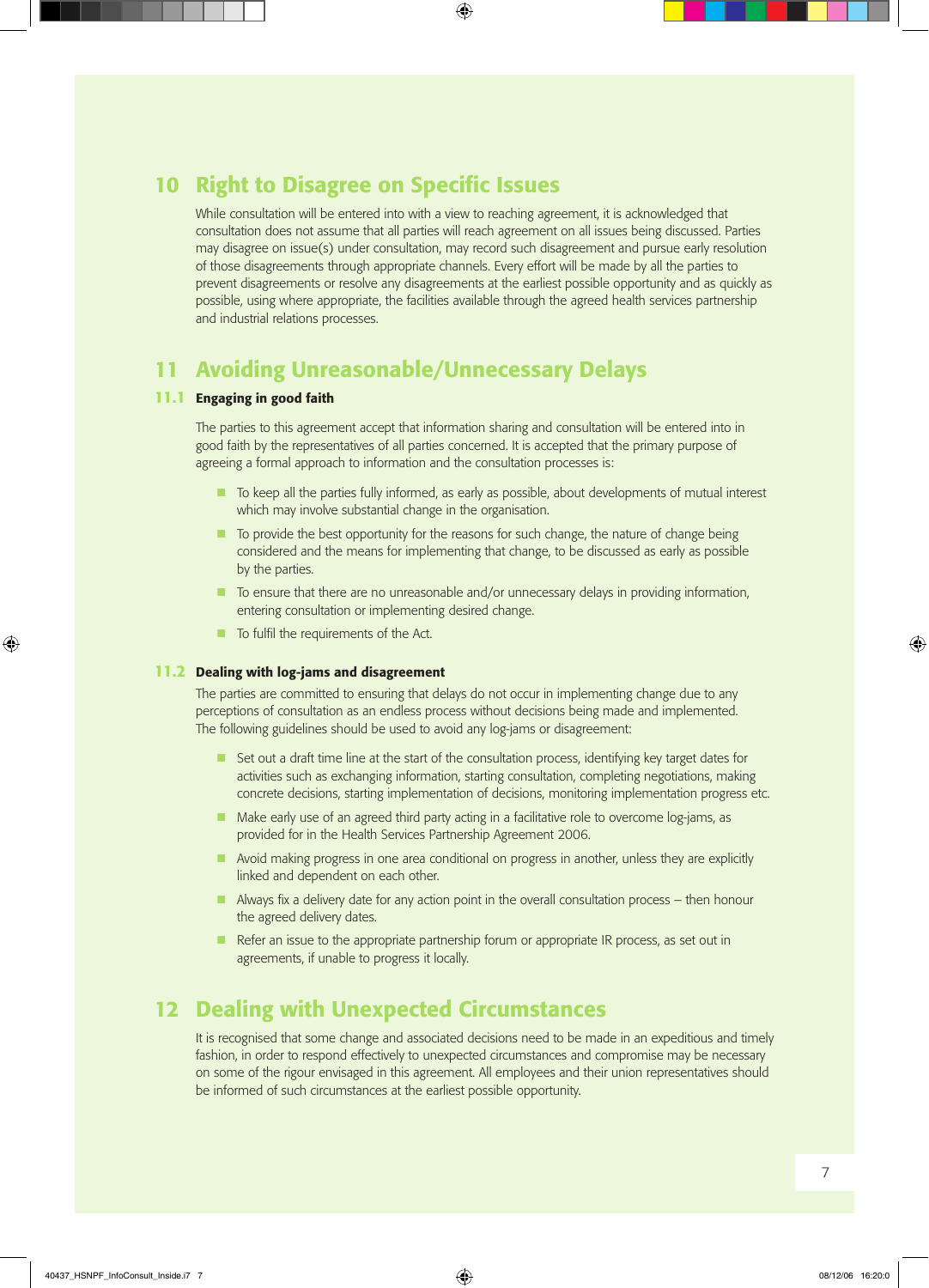### 10 Right to Disagree on Specific Issues

 While consultation will be entered into with a view to reaching agreement, it is acknowledged that consultation does not assume that all parties will reach agreement on all issues being discussed. Parties may disagree on issue(s) under consultation, may record such disagreement and pursue early resolution of those disagreements through appropriate channels. Every effort will be made by all the parties to prevent disagreements or resolve any disagreements at the earliest possible opportunity and as quickly as possible, using where appropriate, the facilities available through the agreed health services partnership and industrial relations processes.

### 11 Avoiding Unreasonable/Unnecessary Delays

#### 11.1 Engaging in good faith

 The parties to this agreement accept that information sharing and consultation will be entered into in good faith by the representatives of all parties concerned. It is accepted that the primary purpose of agreeing a formal approach to information and the consultation processes is:

- $\blacksquare$  To keep all the parties fully informed, as early as possible, about developments of mutual interest which may involve substantial change in the organisation.
- $\blacksquare$  To provide the best opportunity for the reasons for such change, the nature of change being considered and the means for implementing that change, to be discussed as early as possible by the parties.
- $\blacksquare$  To ensure that there are no unreasonable and/or unnecessary delays in providing information, entering consultation or implementing desired change.
- $\blacksquare$  To fulfil the requirements of the Act.

#### 11.2 Dealing with log-jams and disagreement

 The parties are committed to ensuring that delays do not occur in implementing change due to any perceptions of consultation as an endless process without decisions being made and implemented. The following guidelines should be used to avoid any log-jams or disagreement:

- **n** Set out a draft time line at the start of the consultation process, identifying key target dates for activities such as exchanging information, starting consultation, completing negotiations, making concrete decisions, starting implementation of decisions, monitoring implementation progress etc.
- $\blacksquare$  Make early use of an agreed third party acting in a facilitative role to overcome log-jams, as provided for in the Health Services Partnership Agreement 2006.
- **n** Avoid making progress in one area conditional on progress in another, unless they are explicitly linked and dependent on each other.
- $\blacksquare$  Always fix a delivery date for any action point in the overall consultation process then honour the agreed delivery dates.
- n Refer an issue to the appropriate partnership forum or appropriate IR process, as set out in agreements, if unable to progress it locally.

### 12 Dealing with Unexpected Circumstances

It is recognised that some change and associated decisions need to be made in an expeditious and timely fashion, in order to respond effectively to unexpected circumstances and compromise may be necessary on some of the rigour envisaged in this agreement. All employees and their union representatives should be informed of such circumstances at the earliest possible opportunity.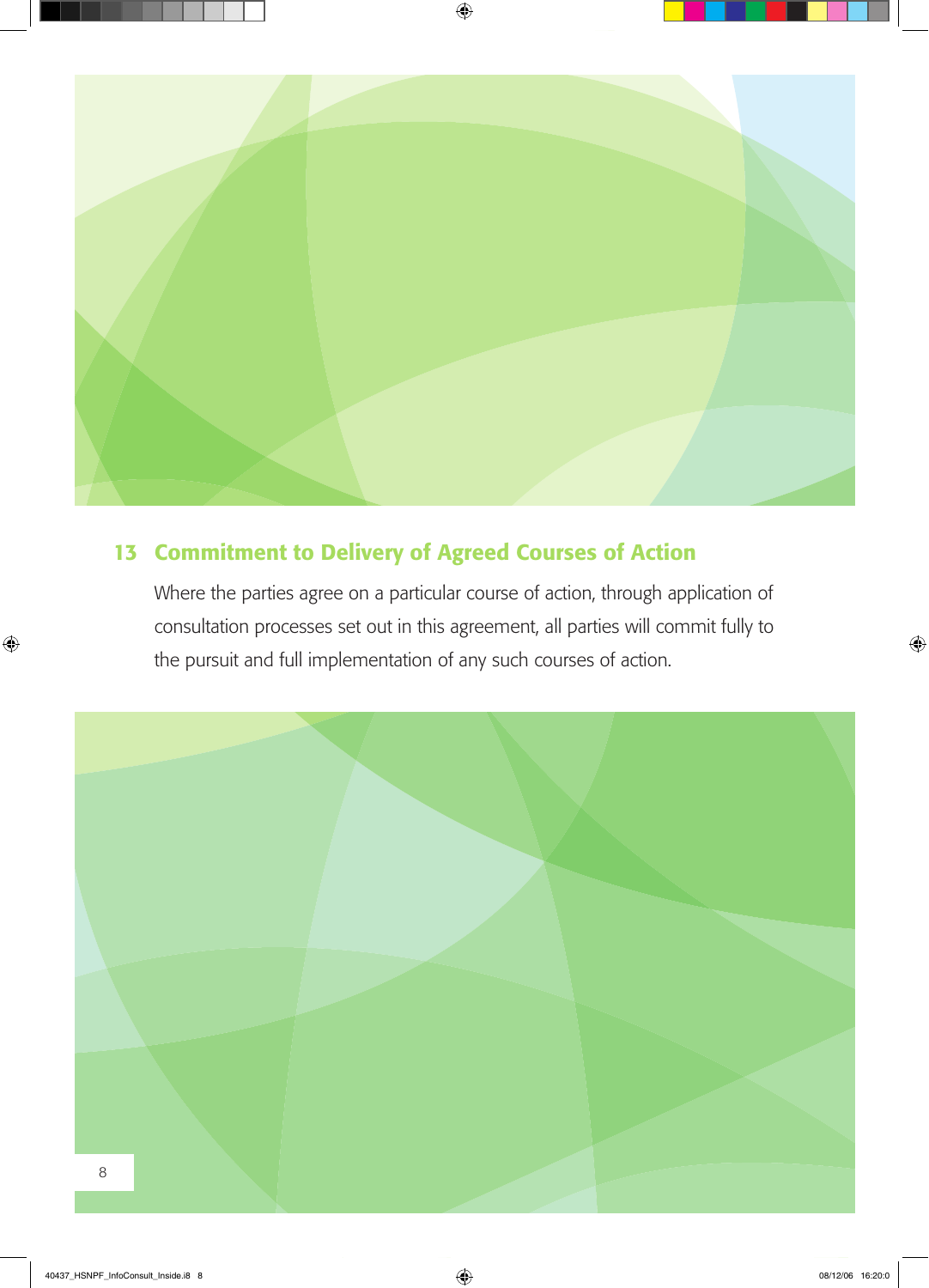

## 13 Commitment to Delivery of Agreed Courses of Action

Where the parties agree on a particular course of action, through application of consultation processes set out in this agreement, all parties will commit fully to the pursuit and full implementation of any such courses of action.

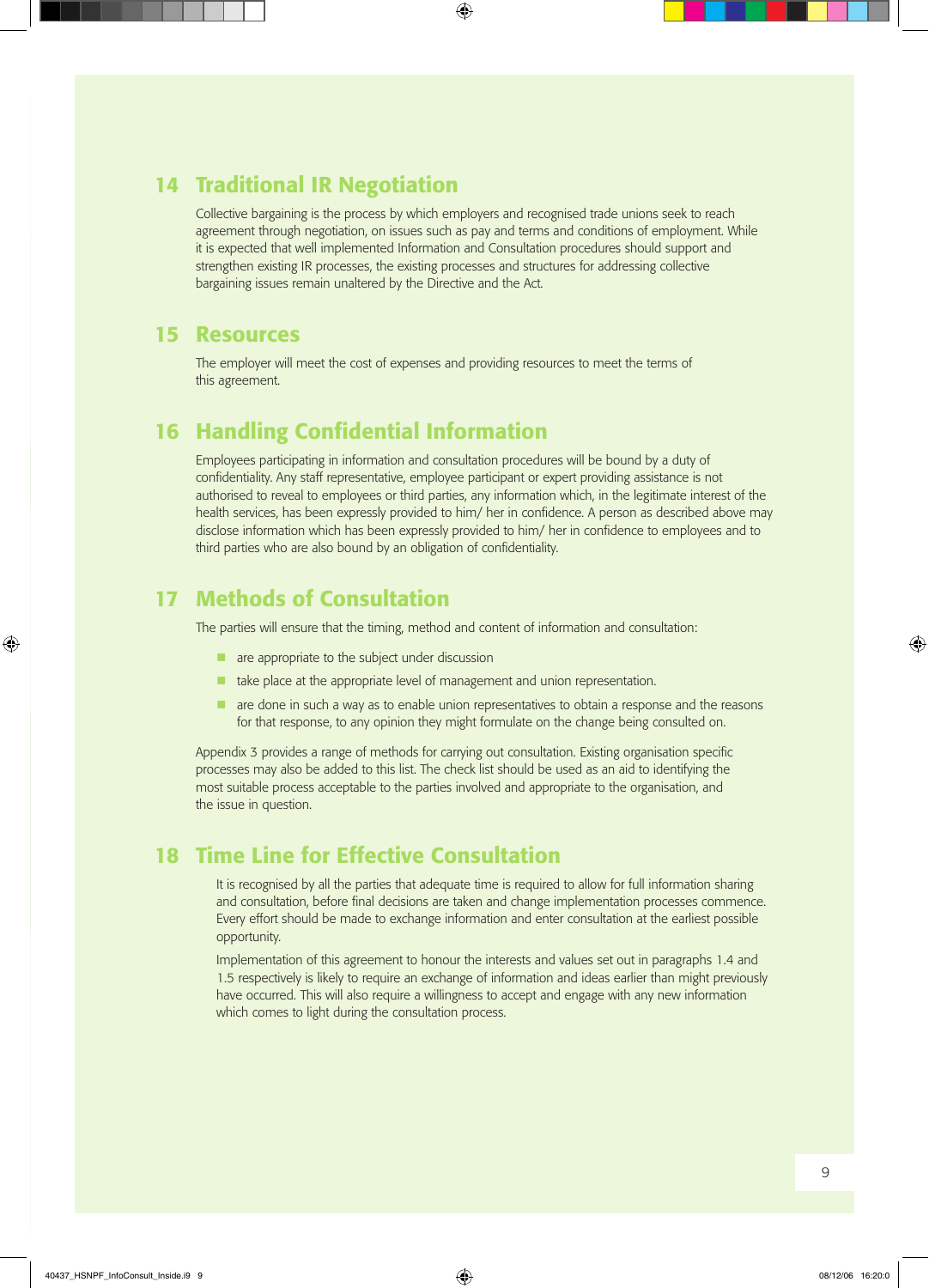### 14 Traditional IR Negotiation

Collective bargaining is the process by which employers and recognised trade unions seek to reach agreement through negotiation, on issues such as pay and terms and conditions of employment. While it is expected that well implemented Information and Consultation procedures should support and strengthen existing IR processes, the existing processes and structures for addressing collective bargaining issues remain unaltered by the Directive and the Act.

### 15 Resources

The employer will meet the cost of expenses and providing resources to meet the terms of this agreement.

### **16 Handling Confidential Information**

Employees participating in information and consultation procedures will be bound by a duty of confidentiality. Any staff representative, employee participant or expert providing assistance is not authorised to reveal to employees or third parties, any information which, in the legitimate interest of the health services, has been expressly provided to him/ her in confidence. A person as described above may disclose information which has been expressly provided to him/ her in confidence to employees and to third parties who are also bound by an obligation of confidentiality.

### 17 Methods of Consultation

The parties will ensure that the timing, method and content of information and consultation:

- $\blacksquare$  are appropriate to the subject under discussion
- $\blacksquare$  take place at the appropriate level of management and union representation.
- $\blacksquare$  are done in such a way as to enable union representatives to obtain a response and the reasons for that response, to any opinion they might formulate on the change being consulted on.

Appendix 3 provides a range of methods for carrying out consultation. Existing organisation specific processes may also be added to this list. The check list should be used as an aid to identifying the most suitable process acceptable to the parties involved and appropriate to the organisation, and the issue in question.

### 18 Time Line for Effective Consultation

It is recognised by all the parties that adequate time is required to allow for full information sharing and consultation, before final decisions are taken and change implementation processes commence. Every effort should be made to exchange information and enter consultation at the earliest possible opportunity.

Implementation of this agreement to honour the interests and values set out in paragraphs 1.4 and 1.5 respectively is likely to require an exchange of information and ideas earlier than might previously have occurred. This will also require a willingness to accept and engage with any new information which comes to light during the consultation process.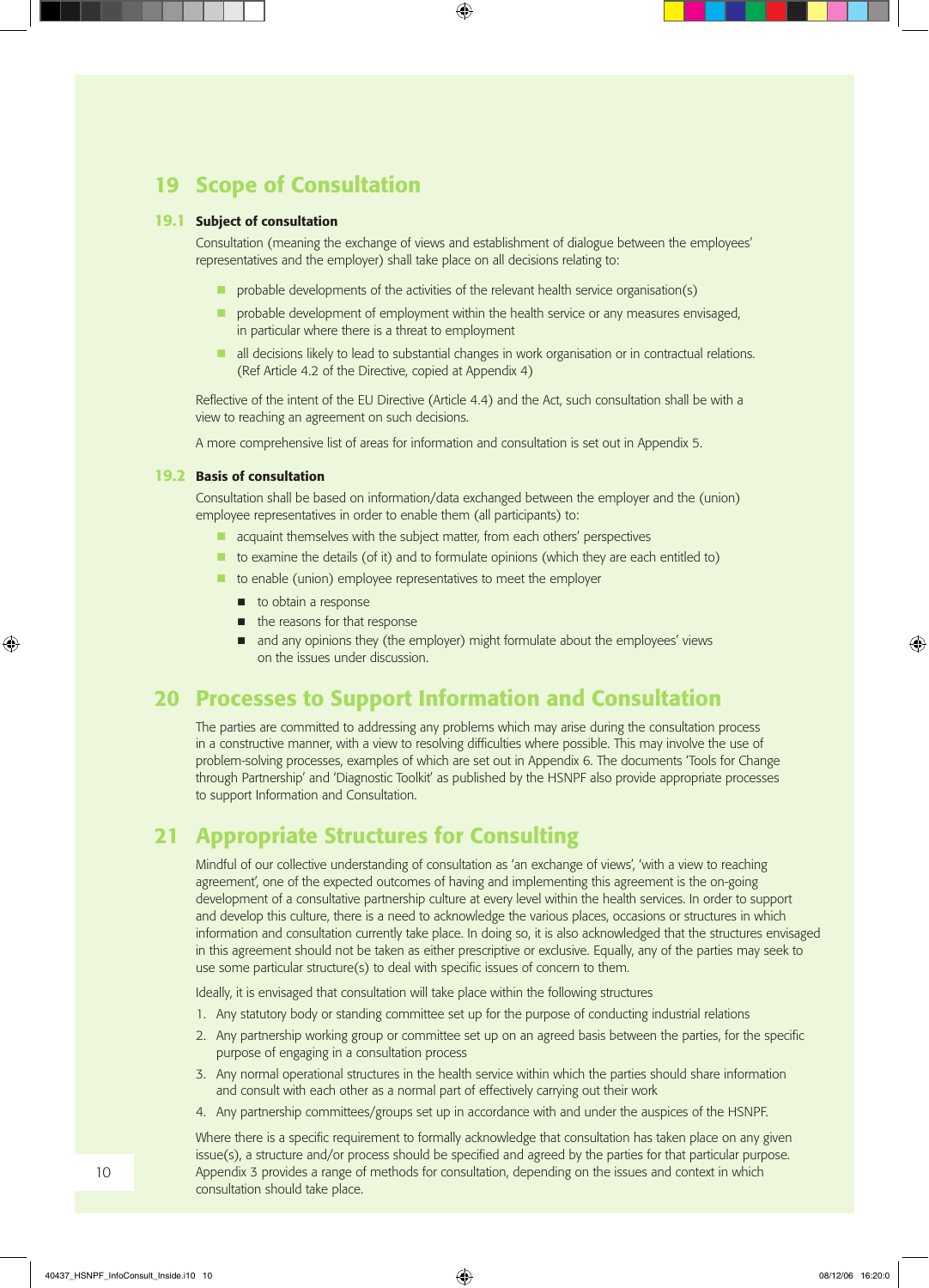### 19 Scope of Consultation

#### 19.1 Subject of consultation

Consultation (meaning the exchange of views and establishment of dialogue between the employees' representatives and the employer) shall take place on all decisions relating to:

- $\blacksquare$  probable developments of the activities of the relevant health service organisation(s)
- $\blacksquare$  probable development of employment within the health service or any measures envisaged, in particular where there is a threat to employment
- n all decisions likely to lead to substantial changes in work organisation or in contractual relations. (Ref Article 4.2 of the Directive, copied at Appendix 4)

 Reflective of the intent of the EU Directive (Article 4.4) and the Act, such consultation shall be with a view to reaching an agreement on such decisions.

 A more comprehensive list of areas for information and consultation is set out in Appendix 5.

#### 19.2 Basis of consultation

 Consultation shall be based on information/data exchanged between the employer and the (union) employee representatives in order to enable them (all participants) to:

- $\blacksquare$  acquaint themselves with the subject matter, from each others' perspectives
- $\blacksquare$  to examine the details (of it) and to formulate opinions (which they are each entitled to)
- $\blacksquare$  to enable (union) employee representatives to meet the employer
	- $\blacksquare$  to obtain a response
	- $\blacksquare$  the reasons for that response
	- n and any opinions they (the employer) might formulate about the employees' views on the issues under discussion.

### 20 Processes to Support Information and Consultation

 The parties are committed to addressing any problems which may arise during the consultation process in a constructive manner, with a view to resolving difficulties where possible. This may involve the use of problem-solving processes, examples of which are set out in Appendix 6. The documents 'Tools for Change through Partnership' and 'Diagnostic Toolkit' as published by the HSNPF also provide appropriate processes to support Information and Consultation.

### 21 Appropriate Structures for Consulting

Mindful of our collective understanding of consultation as 'an exchange of views', 'with a view to reaching agreement', one of the expected outcomes of having and implementing this agreement is the on-going development of a consultative partnership culture at every level within the health services. In order to support and develop this culture, there is a need to acknowledge the various places, occasions or structures in which information and consultation currently take place. In doing so, it is also acknowledged that the structures envisaged in this agreement should not be taken as either prescriptive or exclusive. Equally, any of the parties may seek to use some particular structure(s) to deal with specific issues of concern to them.

Ideally, it is envisaged that consultation will take place within the following structures

- 1. Any statutory body or standing committee set up for the purpose of conducting industrial relations
- 2. Any partnership working group or committee set up on an agreed basis between the parties, for the specific purpose of engaging in a consultation process
- 3. Any normal operational structures in the health service within which the parties should share information and consult with each other as a normal part of effectively carrying out their work
- 4. Any partnership committees/groups set up in accordance with and under the auspices of the HSNPF.

 Where there is a specific requirement to formally acknowledge that consultation has taken place on any given issue(s), a structure and/or process should be specified and agreed by the parties for that particular purpose. Appendix 3 provides a range of methods for consultation, depending on the issues and context in which consultation should take place.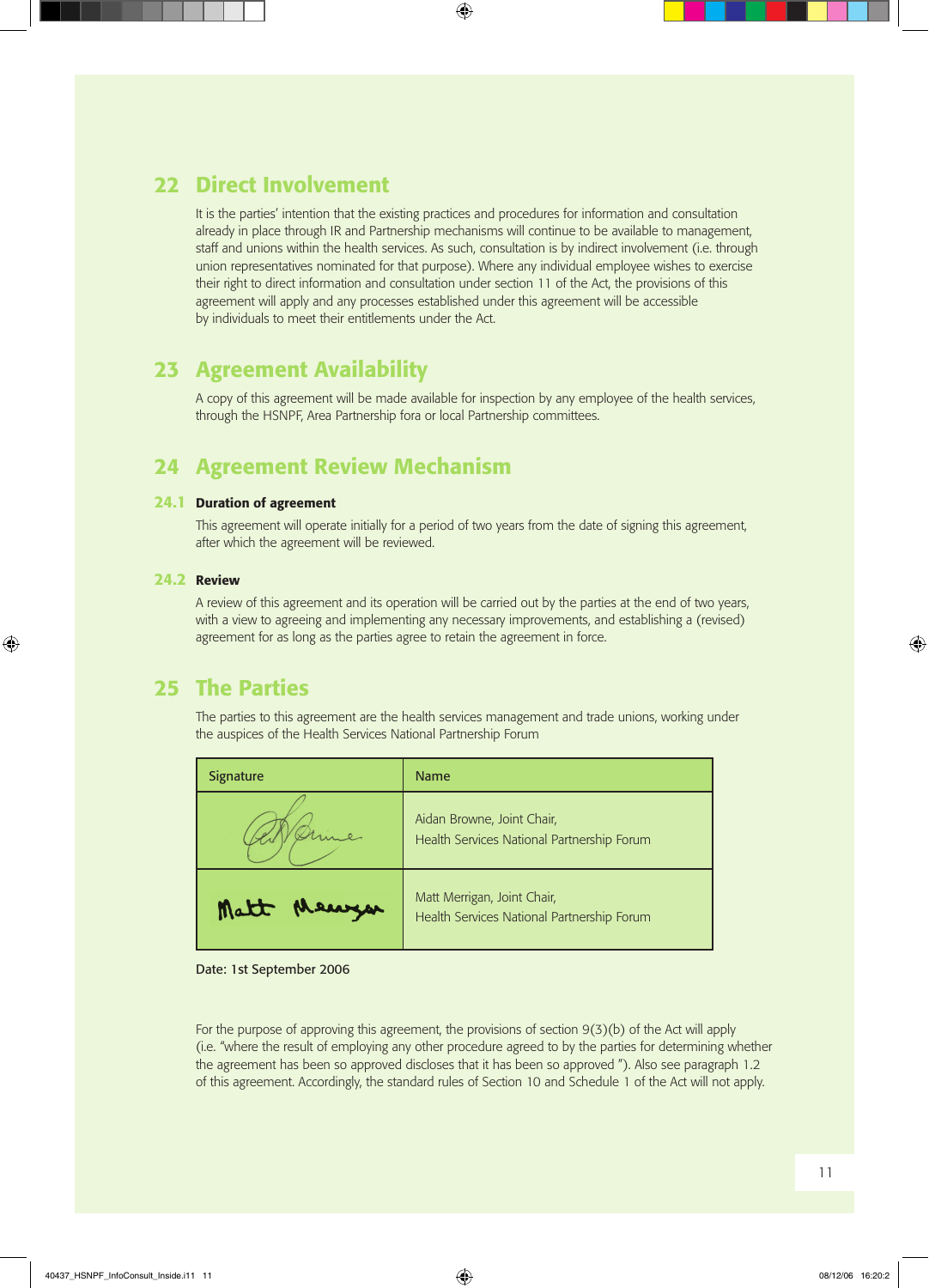### 22 Direct Involvement

It is the parties' intention that the existing practices and procedures for information and consultation already in place through IR and Partnership mechanisms will continue to be available to management, staff and unions within the health services. As such, consultation is by indirect involvement (i.e. through union representatives nominated for that purpose). Where any individual employee wishes to exercise their right to direct information and consultation under section 11 of the Act, the provisions of this agreement will apply and any processes established under this agreement will be accessible by individuals to meet their entitlements under the Act.

### 23 Agreement Availability

A copy of this agreement will be made available for inspection by any employee of the health services, through the HSNPF, Area Partnership fora or local Partnership committees.

### 24 Agreement Review Mechanism

#### 24.1 Duration of agreement

This agreement will operate initially for a period of two years from the date of signing this agreement, after which the agreement will be reviewed.

#### 24.2 Review

A review of this agreement and its operation will be carried out by the parties at the end of two years, with a view to agreeing and implementing any necessary improvements, and establishing a (revised) agreement for as long as the parties agree to retain the agreement in force.

### 25 The Parties

The parties to this agreement are the health services management and trade unions, working under the auspices of the Health Services National Partnership Forum

| <b>Signature</b> | <b>Name</b>                                                               |
|------------------|---------------------------------------------------------------------------|
|                  | Aidan Browne, Joint Chair,<br>Health Services National Partnership Forum  |
| Matt Mean        | Matt Merrigan, Joint Chair,<br>Health Services National Partnership Forum |

#### Date: 1st September 2006

For the purpose of approving this agreement, the provisions of section  $9(3)(b)$  of the Act will apply (i.e. "where the result of employing any other procedure agreed to by the parties for determining whether the agreement has been so approved discloses that it has been so approved "). Also see paragraph 1.2 of this agreement. Accordingly, the standard rules of Section 10 and Schedule 1 of the Act will not apply.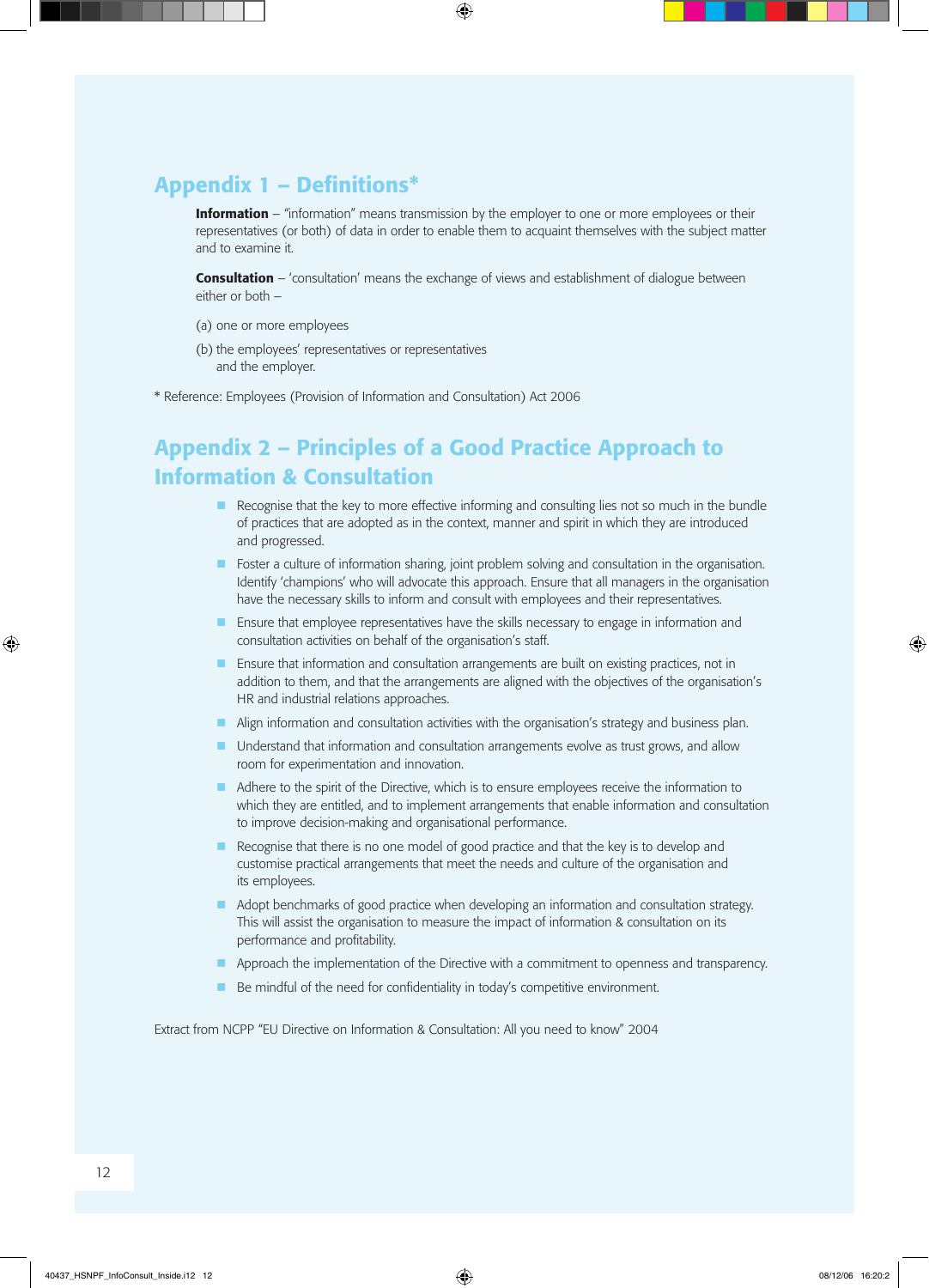### Appendix 1 – Definitions\*

**Information** – "information" means transmission by the employer to one or more employees or their representatives (or both) of data in order to enable them to acquaint themselves with the subject matter and to examine it.

**Consultation** – 'consultation' means the exchange of views and establishment of dialogue between either or both –

- (a) one or more employees
- (b) the employees' representatives or representatives and the employer.
- \* Reference: Employees (Provision of Information and Consultation) Act 2006

## Appendix 2 – Principles of a Good Practice Approach to Information & Consultation

- n Recognise that the key to more effective informing and consulting lies not so much in the bundle of practices that are adopted as in the context, manner and spirit in which they are introduced and progressed.
- **n** Foster a culture of information sharing, joint problem solving and consultation in the organisation. Identify 'champions' who will advocate this approach. Ensure that all managers in the organisation have the necessary skills to inform and consult with employees and their representatives.
- **n** Ensure that employee representatives have the skills necessary to engage in information and consultation activities on behalf of the organisation's staff.
- **n** Ensure that information and consultation arrangements are built on existing practices, not in addition to them, and that the arrangements are aligned with the objectives of the organisation's HR and industrial relations approaches.
- **n** Align information and consultation activities with the organisation's strategy and business plan.
- **n** Understand that information and consultation arrangements evolve as trust grows, and allow room for experimentation and innovation.
- **n** Adhere to the spirit of the Directive, which is to ensure employees receive the information to which they are entitled, and to implement arrangements that enable information and consultation to improve decision-making and organisational performance.
- Recognise that there is no one model of good practice and that the key is to develop and customise practical arrangements that meet the needs and culture of the organisation and its employees.
- Adopt benchmarks of good practice when developing an information and consultation strategy. This will assist the organisation to measure the impact of information & consultation on its performance and profitability.
- **n** Approach the implementation of the Directive with a commitment to openness and transparency.
- $\blacksquare$  Be mindful of the need for confidentiality in today's competitive environment.

Extract from NCPP "EU Directive on Information & Consultation: All you need to know" 2004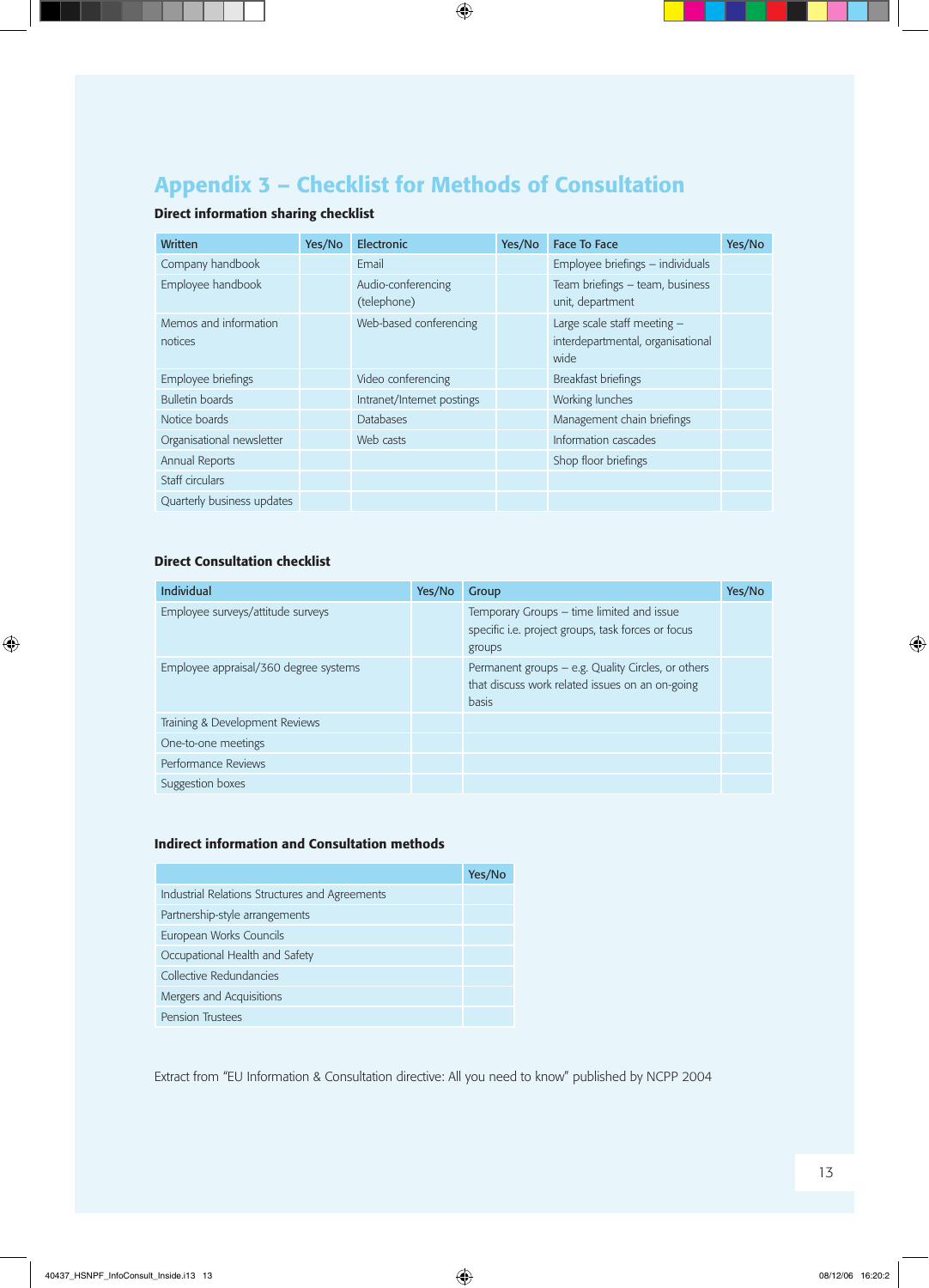## Appendix 3 – Checklist for Methods of Consultation

### Direct information sharing checklist

| <b>Written</b>                   | Yes/No | Electronic                        | Yes/No | <b>Face To Face</b>                                                      | Yes/No |
|----------------------------------|--------|-----------------------------------|--------|--------------------------------------------------------------------------|--------|
| Company handbook                 |        | Email                             |        | Employee briefings - individuals                                         |        |
| Employee handbook                |        | Audio-conferencing<br>(telephone) |        | Team briefings - team, business<br>unit, department                      |        |
| Memos and information<br>notices |        | Web-based conferencing            |        | Large scale staff meeting -<br>interdepartmental, organisational<br>wide |        |
| Employee briefings               |        | Video conferencing                |        | Breakfast briefings                                                      |        |
| <b>Bulletin boards</b>           |        | Intranet/Internet postings        |        | Working lunches                                                          |        |
| Notice boards                    |        | <b>Databases</b>                  |        | Management chain briefings                                               |        |
| Organisational newsletter        |        | Web casts                         |        | Information cascades                                                     |        |
| Annual Reports                   |        |                                   |        | Shop floor briefings                                                     |        |
| Staff circulars                  |        |                                   |        |                                                                          |        |
| Quarterly business updates       |        |                                   |        |                                                                          |        |

#### Direct Consultation checklist

| Individual                            | Yes/No | Group                                                                                                                 | Yes/No |
|---------------------------------------|--------|-----------------------------------------------------------------------------------------------------------------------|--------|
| Employee surveys/attitude surveys     |        | Temporary Groups – time limited and issue<br>specific i.e. project groups, task forces or focus<br>groups             |        |
| Employee appraisal/360 degree systems |        | Permanent groups – e.g. Quality Circles, or others<br>that discuss work related issues on an on-going<br><b>basis</b> |        |
| Training & Development Reviews        |        |                                                                                                                       |        |
| One-to-one meetings                   |        |                                                                                                                       |        |
| Performance Reviews                   |        |                                                                                                                       |        |
| Suggestion boxes                      |        |                                                                                                                       |        |

#### Indirect information and Consultation methods

|                                                | Yes/No |
|------------------------------------------------|--------|
| Industrial Relations Structures and Agreements |        |
| Partnership-style arrangements                 |        |
| European Works Councils                        |        |
| Occupational Health and Safety                 |        |
| Collective Redundancies                        |        |
| Mergers and Acquisitions                       |        |
| <b>Pension Trustees</b>                        |        |

Extract from "EU Information & Consultation directive: All you need to know" published by NCPP 2004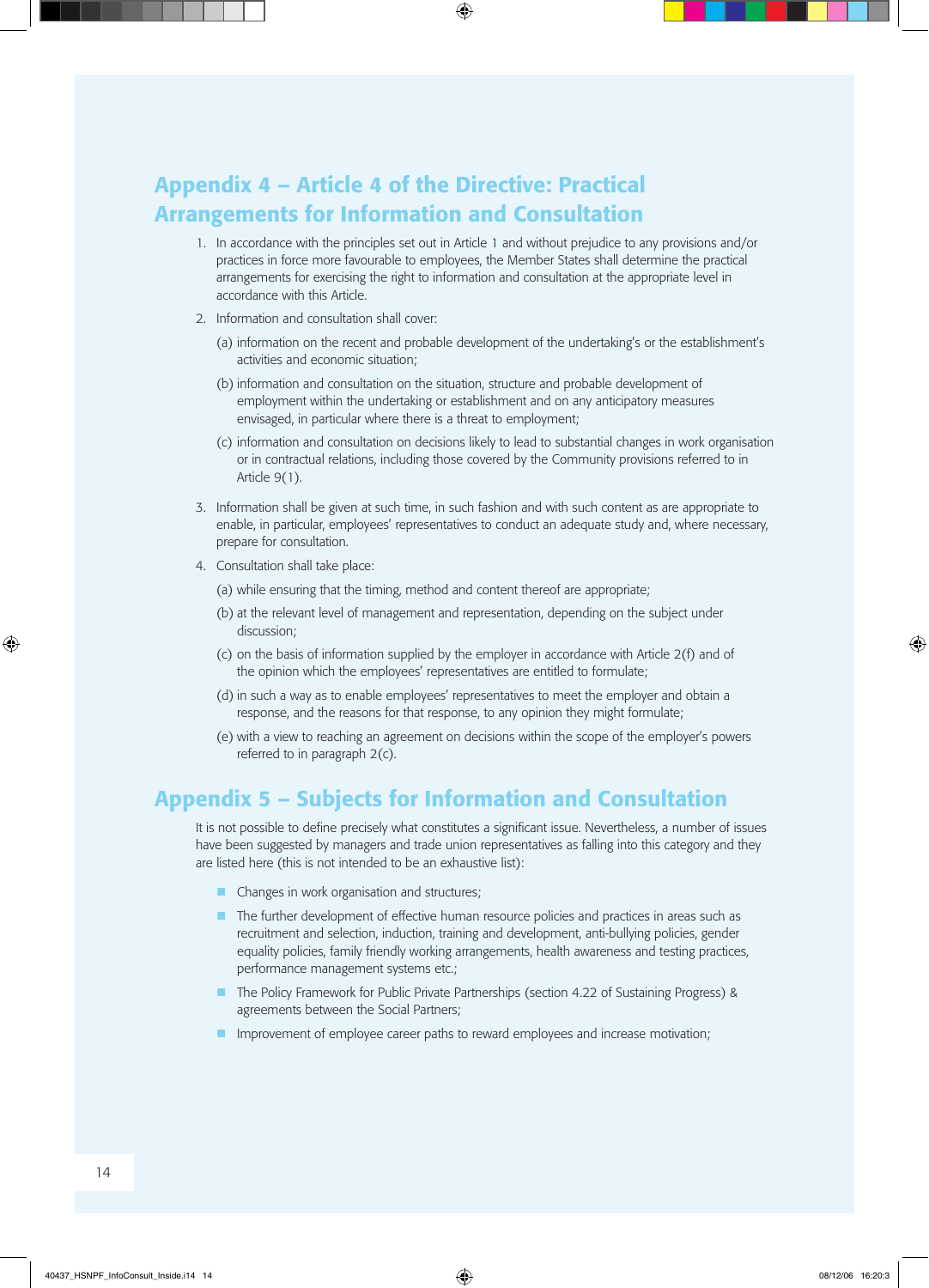## Appendix 4 – Article 4 of the Directive: Practical Arrangements for Information and Consultation

- 1. In accordance with the principles set out in Article 1 and without prejudice to any provisions and/or practices in force more favourable to employees, the Member States shall determine the practical arrangements for exercising the right to information and consultation at the appropriate level in accordance with this Article.
- 2. Information and consultation shall cover:
	- (a) information on the recent and probable development of the undertaking's or the establishment's activities and economic situation;
	- (b) information and consultation on the situation, structure and probable development of employment within the undertaking or establishment and on any anticipatory measures envisaged, in particular where there is a threat to employment;
	- (c) information and consultation on decisions likely to lead to substantial changes in work organisation or in contractual relations, including those covered by the Community provisions referred to in Article 9(1).
- 3. Information shall be given at such time, in such fashion and with such content as are appropriate to enable, in particular, employees' representatives to conduct an adequate study and, where necessary, prepare for consultation.
- 4. Consultation shall take place:
	- (a) while ensuring that the timing, method and content thereof are appropriate;
	- (b) at the relevant level of management and representation, depending on the subject under discussion;
	- (c) on the basis of information supplied by the employer in accordance with Article 2(f) and of the opinion which the employees' representatives are entitled to formulate;
	- (d) in such a way as to enable employees' representatives to meet the employer and obtain a response, and the reasons for that response, to any opinion they might formulate;
	- (e) with a view to reaching an agreement on decisions within the scope of the employer's powers referred to in paragraph 2(c).

### Appendix 5 – Subjects for Information and Consultation

 It is not possible to define precisely what constitutes a significant issue. Nevertheless, a number of issues have been suggested by managers and trade union representatives as falling into this category and they are listed here (this is not intended to be an exhaustive list):

- $\blacksquare$  Changes in work organisation and structures;
- n The further development of effective human resource policies and practices in areas such as recruitment and selection, induction, training and development, anti-bullying policies, gender equality policies, family friendly working arrangements, health awareness and testing practices, performance management systems etc.;
- n The Policy Framework for Public Private Partnerships (section 4.22 of Sustaining Progress) & agreements between the Social Partners;
- $\blacksquare$  Improvement of employee career paths to reward employees and increase motivation;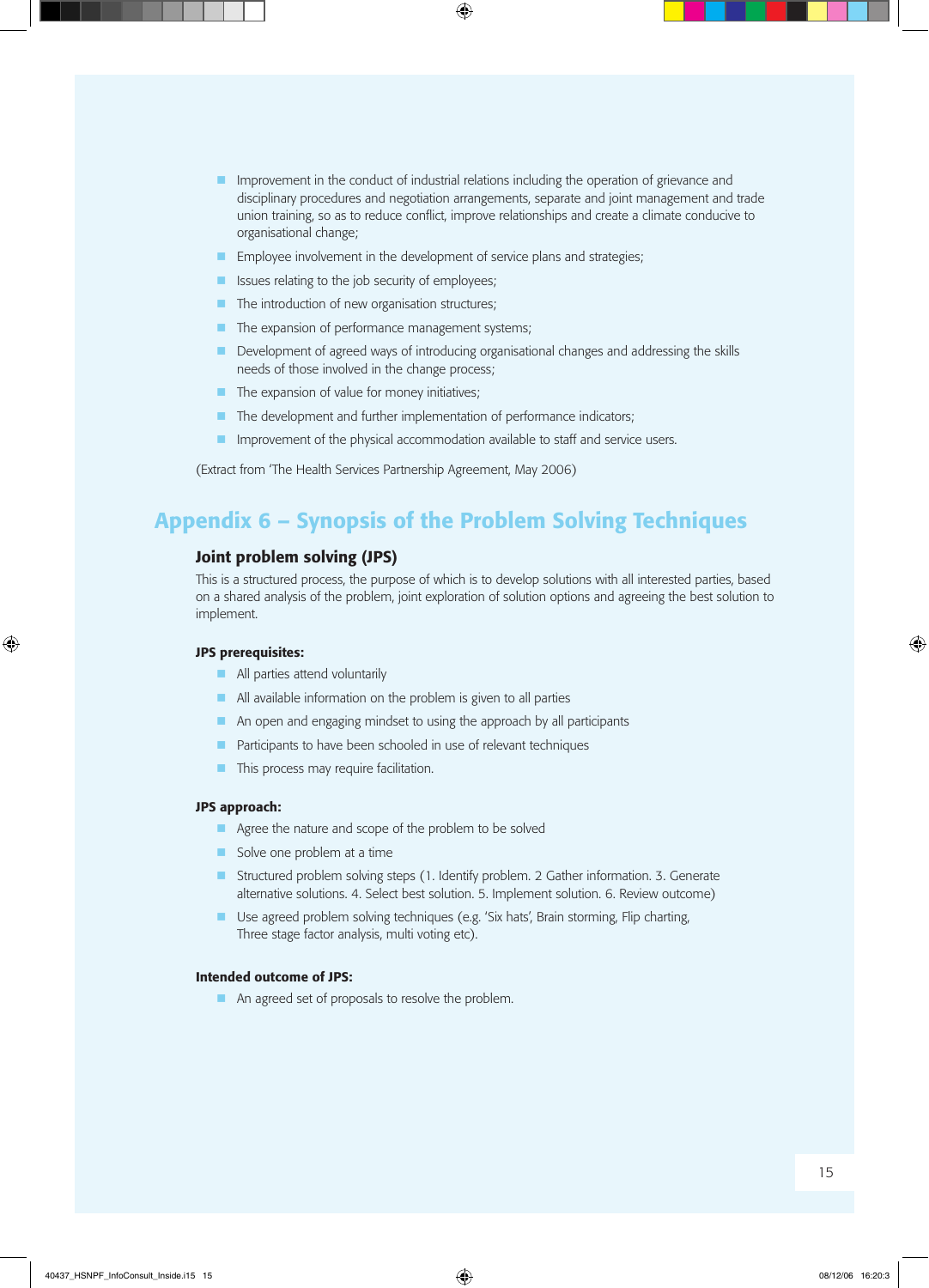- **n** Improvement in the conduct of industrial relations including the operation of grievance and disciplinary procedures and negotiation arrangements, separate and joint management and trade union training, so as to reduce conflict, improve relationships and create a climate conducive to organisational change;
- $\blacksquare$  Employee involvement in the development of service plans and strategies;
- $\blacksquare$  Issues relating to the job security of employees;
- $\blacksquare$  The introduction of new organisation structures;
- $\blacksquare$  The expansion of performance management systems;
- Development of agreed ways of introducing organisational changes and addressing the skills needs of those involved in the change process;
- $\blacksquare$  The expansion of value for money initiatives;
- $\blacksquare$  The development and further implementation of performance indicators;
- $\blacksquare$  Improvement of the physical accommodation available to staff and service users.

 (Extract from 'The Health Services Partnership Agreement, May 2006)

### Appendix 6 – Synopsis of the Problem Solving Techniques

#### Joint problem solving (JPS)

 This is a structured process, the purpose of which is to develop solutions with all interested parties, based on a shared analysis of the problem, joint exploration of solution options and agreeing the best solution to implement.

#### JPS prerequisites:

- $\blacksquare$  All parties attend voluntarily
- $\blacksquare$  All available information on the problem is given to all parties
- $\blacksquare$  An open and engaging mindset to using the approach by all participants
- $\blacksquare$  Participants to have been schooled in use of relevant techniques
- $\blacksquare$  This process may require facilitation.

#### JPS approach:

- $\blacksquare$  Agree the nature and scope of the problem to be solved
- $\blacksquare$  Solve one problem at a time
- Structured problem solving steps (1. Identify problem. 2 Gather information. 3. Generate alternative solutions. 4. Select best solution. 5. Implement solution. 6. Review outcome)
- **n** Use agreed problem solving techniques (e.g. 'Six hats', Brain storming, Flip charting, Three stage factor analysis, multi voting etc).

#### Intended outcome of JPS:

**n** An agreed set of proposals to resolve the problem.